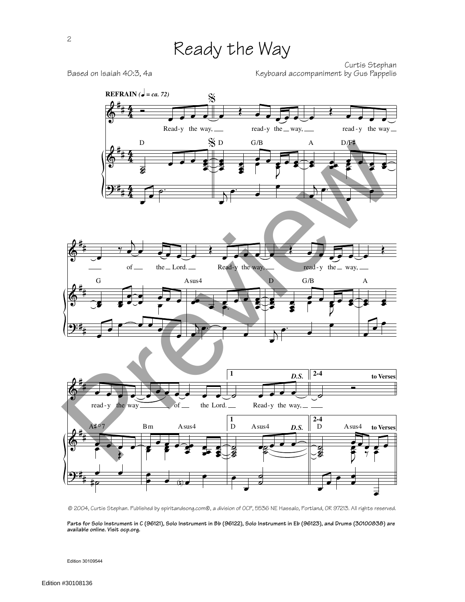## Ready the Way

Curtis Stephan Based on Isaiah 40:3, 4a **Keyboard accompaniment by Gus Pappelis** 



© 2004, Curtis Stephan. Published by spiritandsong.com®, a division of OCP, 5536 NE Hassalo, Portland, OR 97213. All rights reserved.

**Parts for Solo Instrument in C (96121), Solo Instrument in Bb (96122), Solo Instrument in Eb (96123), and Drums (30100838) are available online. Visit ocp.org.**

Edition 30109544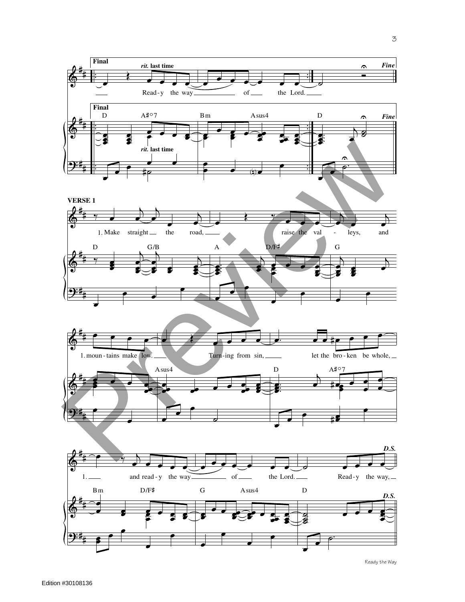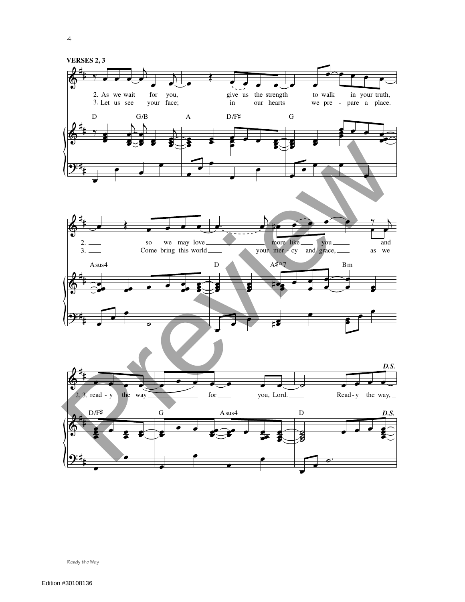



Ready the Way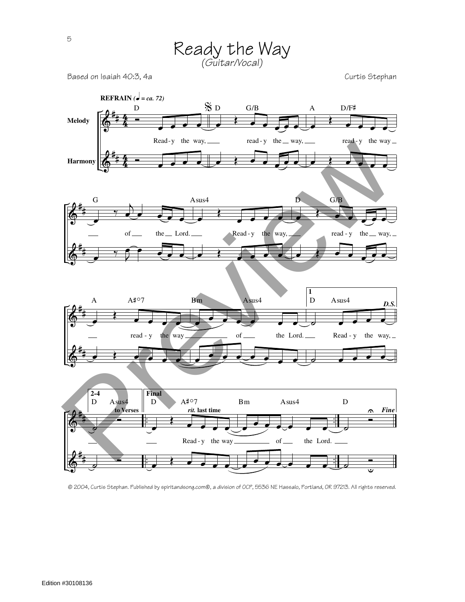Ready the Way *(Guitar/Vocal)*

Based on Isaiah 40:3, 4a Curtis Stephan



© 2004, Curtis Stephan. Published by spiritandsong.com®, a division of OCP, 5536 NE Hassalo, Portland, OR 97213. All rights reserved.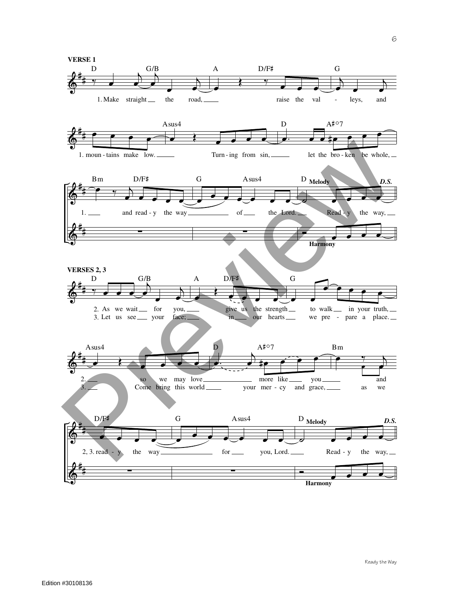